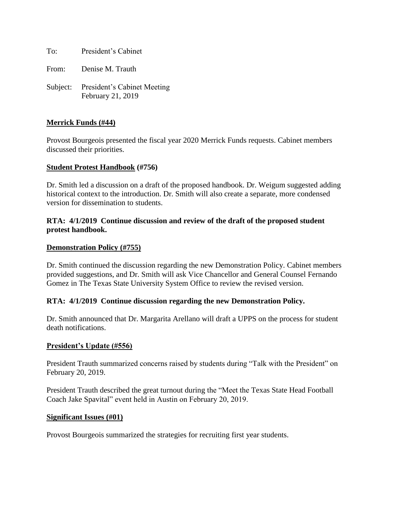To: President's Cabinet

From: Denise M. Trauth

Subject: President's Cabinet Meeting February 21, 2019

### **Merrick Funds (#44)**

Provost Bourgeois presented the fiscal year 2020 Merrick Funds requests. Cabinet members discussed their priorities.

#### **Student Protest Handbook (#756)**

Dr. Smith led a discussion on a draft of the proposed handbook. Dr. Weigum suggested adding historical context to the introduction. Dr. Smith will also create a separate, more condensed version for dissemination to students.

### **RTA: 4/1/2019 Continue discussion and review of the draft of the proposed student protest handbook.**

#### **Demonstration Policy (#755)**

Dr. Smith continued the discussion regarding the new Demonstration Policy. Cabinet members provided suggestions, and Dr. Smith will ask Vice Chancellor and General Counsel Fernando Gomez in The Texas State University System Office to review the revised version.

#### **RTA: 4/1/2019 Continue discussion regarding the new Demonstration Policy.**

Dr. Smith announced that Dr. Margarita Arellano will draft a UPPS on the process for student death notifications.

#### **President's Update (#556)**

President Trauth summarized concerns raised by students during "Talk with the President" on February 20, 2019.

President Trauth described the great turnout during the "Meet the Texas State Head Football Coach Jake Spavital" event held in Austin on February 20, 2019.

#### **Significant Issues (#01)**

Provost Bourgeois summarized the strategies for recruiting first year students.